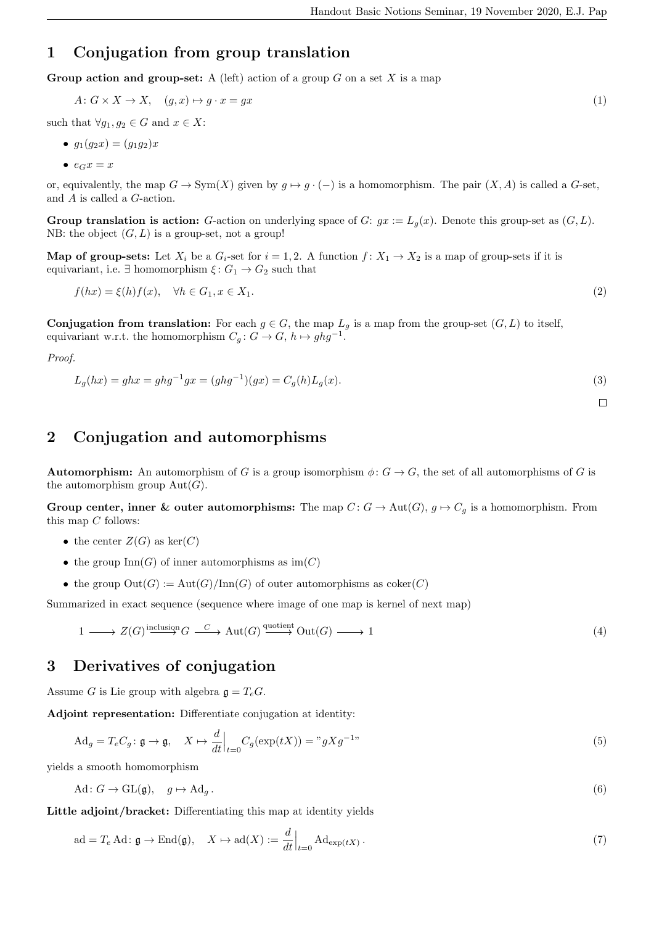$\Box$ 

## 1 Conjugation from group translation

Group action and group-set: A (left) action of a group  $G$  on a set  $X$  is a map

$$
A: G \times X \to X, \quad (g, x) \mapsto g \cdot x = gx \tag{1}
$$

such that  $\forall g_1, g_2 \in G$  and  $x \in X$ :

$$
\bullet \ \ g_1(g_2x) = (g_1g_2)x
$$

•  $e_G x = x$ 

or, equivalently, the map  $G \to \text{Sym}(X)$  given by  $g \mapsto g \cdot (-)$  is a homomorphism. The pair  $(X, A)$  is called a G-set, and A is called a G-action.

**Group translation is action:** G-action on underlying space of G:  $gx := L_q(x)$ . Denote this group-set as  $(G, L)$ . NB: the object  $(G, L)$  is a group-set, not a group!

**Map of group-sets:** Let  $X_i$  be a  $G_i$ -set for  $i = 1, 2$ . A function  $f: X_1 \to X_2$  is a map of group-sets if it is equivariant, i.e.  $\exists$  homomorphism  $\xi\colon G_1\to G_2$  such that

$$
f(hx) = \xi(h)f(x), \quad \forall h \in G_1, x \in X_1.
$$
\n
$$
(2)
$$

**Conjugation from translation:** For each  $g \in G$ , the map  $L_g$  is a map from the group-set  $(G, L)$  to itself, equivariant w.r.t. the homomorphism  $C_g: G \to G$ ,  $h \mapsto ghg^{-1}$ .

Proof.

$$
L_g(hx) = ghx = ghg^{-1}gx = (ghg^{-1})(gx) = C_g(h)L_g(x).
$$
\n(3)

## 2 Conjugation and automorphisms

**Automorphism:** An automorphism of G is a group isomorphism  $\phi: G \to G$ , the set of all automorphisms of G is the automorphism group  $Aut(G)$ .

Group center, inner & outer automorphisms: The map  $C: G \to \text{Aut}(G), g \mapsto C_g$  is a homomorphism. From this map  $C$  follows:

- the center  $Z(G)$  as  $\ker(C)$
- the group  $\text{Inn}(G)$  of inner automorphisms as  $\text{im}(C)$
- the group  $Out(G) := Aut(G)/Inn(G)$  of outer automorphisms as  $coker(C)$

Summarized in exact sequence (sequence where image of one map is kernel of next map)

$$
1 \longrightarrow Z(G) \xrightarrow{\text{inclusion}} G \xrightarrow{C} \text{Aut}(G) \xrightarrow{\text{quotient}} \text{Out}(G) \longrightarrow 1 \tag{4}
$$

## 3 Derivatives of conjugation

Assume G is Lie group with algebra  $\mathfrak{g} = T_e G$ .

Adjoint representation: Differentiate conjugation at identity:

$$
\mathrm{Ad}_g = T_e C_g: \mathfrak{g} \to \mathfrak{g}, \quad X \mapsto \frac{d}{dt}\Big|_{t=0} C_g(\exp(tX)) = "gXg^{-1}"
$$
\n<sup>(5)</sup>

yields a smooth homomorphism

$$
\text{Ad}\colon G \to \text{GL}(\mathfrak{g}), \quad g \mapsto \text{Ad}_g. \tag{6}
$$

Little adjoint/bracket: Differentiating this map at identity yields

$$
ad = T_e Ad: \mathfrak{g} \to \text{End}(\mathfrak{g}), \quad X \mapsto ad(X) := \frac{d}{dt}\Big|_{t=0} Ad_{\exp(tX)}.
$$
 (7)